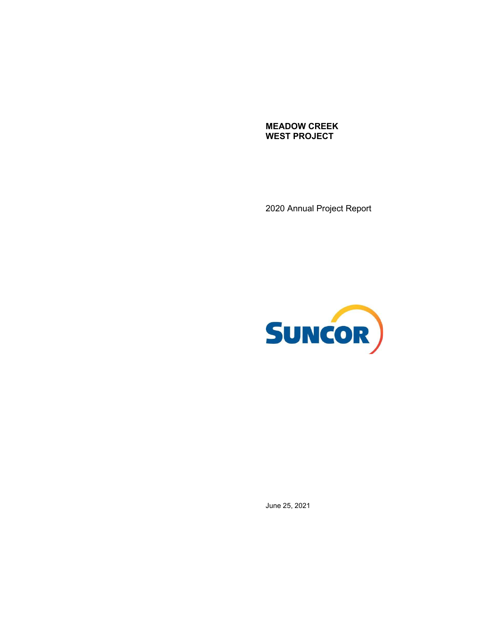**MEADOW CREEK WEST PROJECT** 

2020 Annual Project Report



June 25, 2021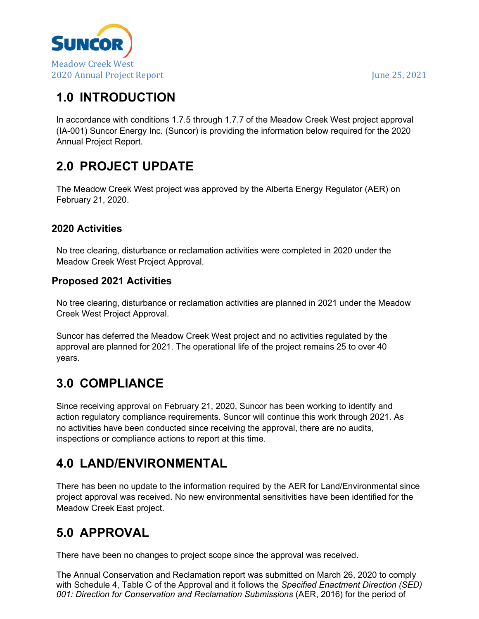

# **1.0 INTRODUCTION**

 In accordance with conditions 1.7.5 through 1.7.7 of the Meadow Creek West project approval (IA-001) Suncor Energy Inc. (Suncor) is providing the information below required for the 2020 Annual Project Report.

# **2.0 PROJECT UPDATE**

 The Meadow Creek West project was approved by the Alberta Energy Regulator (AER) on February 21, 2020.

#### **2020 Activities**

 No tree clearing, disturbance or reclamation activities were completed in 2020 under the Meadow Creek West Project Approval.

#### **Proposed 2021 Activities**

 No tree clearing, disturbance or reclamation activities are planned in 2021 under the Meadow Creek West Project Approval.

 Suncor has deferred the Meadow Creek West project and no activities regulated by the approval are planned for 2021. The operational life of the project remains 25 to over 40 years.

## **3.0 COMPLIANCE**

 Since receiving approval on February 21, 2020, Suncor has been working to identify and [action regulatory compliance requirements. Suncor will continue this work through 2021. As](https://actionregulatorycompliancerequirements.Suncorwillcontinuethisworkthrough2021.As)  no activities have been conducted since receiving the approval, there are no audits, inspections or compliance actions to report at this time.

# **4.0 LAND/ENVIRONMENTAL**

 There has been no update to the information required by the AER for Land/Environmental since project approval was received. No new environmental sensitivities have been identified for the Meadow Creek East project.

# **5.0 APPROVAL**

There have been no changes to project scope since the approval was received.

 The Annual Conservation and Reclamation report was submitted on March 26, 2020 to comply with Schedule 4, Table C of the Approval and it follows the *Specified Enactment Direction (SED)*  001: Direction for Conservation and Reclamation Submissions (AER, 2016) for the period of